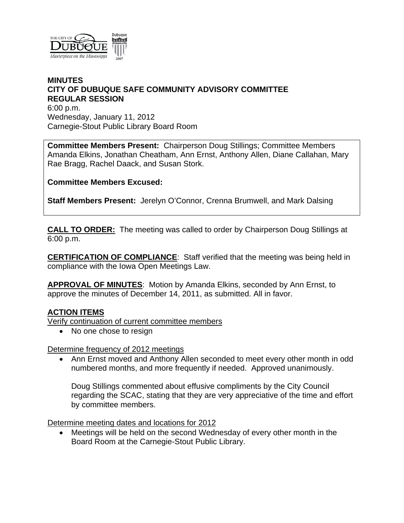

## **MINUTES CITY OF DUBUQUE SAFE COMMUNITY ADVISORY COMMITTEE REGULAR SESSION**

6:00 p.m. Wednesday, January 11, 2012 Carnegie-Stout Public Library Board Room

**Committee Members Present:** Chairperson Doug Stillings; Committee Members Amanda Elkins, Jonathan Cheatham, Ann Ernst, Anthony Allen, Diane Callahan, Mary Rae Bragg, Rachel Daack, and Susan Stork.

**Committee Members Excused:**

**Staff Members Present:** Jerelyn O'Connor, Crenna Brumwell, and Mark Dalsing

**CALL TO ORDER:** The meeting was called to order by Chairperson Doug Stillings at 6:00 p.m.

**CERTIFICATION OF COMPLIANCE**: Staff verified that the meeting was being held in compliance with the Iowa Open Meetings Law.

**APPROVAL OF MINUTES**: Motion by Amanda Elkins, seconded by Ann Ernst, to approve the minutes of December 14, 2011, as submitted. All in favor.

# **ACTION ITEMS**

Verify continuation of current committee members

• No one chose to resign

Determine frequency of 2012 meetings

 Ann Ernst moved and Anthony Allen seconded to meet every other month in odd numbered months, and more frequently if needed. Approved unanimously.

Doug Stillings commented about effusive compliments by the City Council regarding the SCAC, stating that they are very appreciative of the time and effort by committee members.

Determine meeting dates and locations for 2012

 Meetings will be held on the second Wednesday of every other month in the Board Room at the Carnegie-Stout Public Library.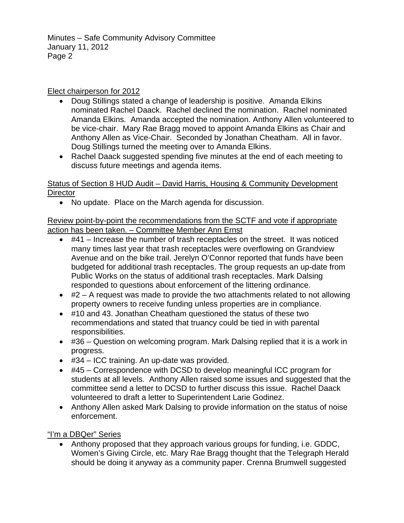Minutes – Safe Community Advisory Committee January 11, 2012 Page 2

## Elect chairperson for 2012

- Doug Stillings stated a change of leadership is positive. Amanda Elkins nominated Rachel Daack. Rachel declined the nomination. Rachel nominated Amanda Elkins. Amanda accepted the nomination. Anthony Allen volunteered to be vice-chair. Mary Rae Bragg moved to appoint Amanda Elkins as Chair and Anthony Allen as Vice-Chair. Seconded by Jonathan Cheatham. All in favor. Doug Stillings turned the meeting over to Amanda Elkins.
- Rachel Daack suggested spending five minutes at the end of each meeting to discuss future meetings and agenda items.

## Status of Section 8 HUD Audit – David Harris, Housing & Community Development **Director**

No update. Place on the March agenda for discussion.

# Review point-by-point the recommendations from the SCTF and vote if appropriate action has been taken. – Committee Member Ann Ernst

- $\bullet$  #41 Increase the number of trash receptacles on the street. It was noticed many times last year that trash receptacles were overflowing on Grandview Avenue and on the bike trail. Jerelyn O'Connor reported that funds have been budgeted for additional trash receptacles. The group requests an up-date from Public Works on the status of additional trash receptacles. Mark Dalsing responded to questions about enforcement of the littering ordinance.
- $\bullet$  #2 A request was made to provide the two attachments related to not allowing property owners to receive funding unless properties are in compliance.
- #10 and 43. Jonathan Cheatham questioned the status of these two recommendations and stated that truancy could be tied in with parental responsibilities.
- #36 Question on welcoming program. Mark Dalsing replied that it is a work in progress.
- #34 ICC training. An up-date was provided.
- #45 Correspondence with DCSD to develop meaningful ICC program for students at all levels. Anthony Allen raised some issues and suggested that the committee send a letter to DCSD to further discuss this issue. Rachel Daack volunteered to draft a letter to Superintendent Larie Godinez.
- Anthony Allen asked Mark Dalsing to provide information on the status of noise enforcement.

"I'm a DBQer" Series

 Anthony proposed that they approach various groups for funding, i.e. GDDC, Women's Giving Circle, etc. Mary Rae Bragg thought that the Telegraph Herald should be doing it anyway as a community paper. Crenna Brumwell suggested